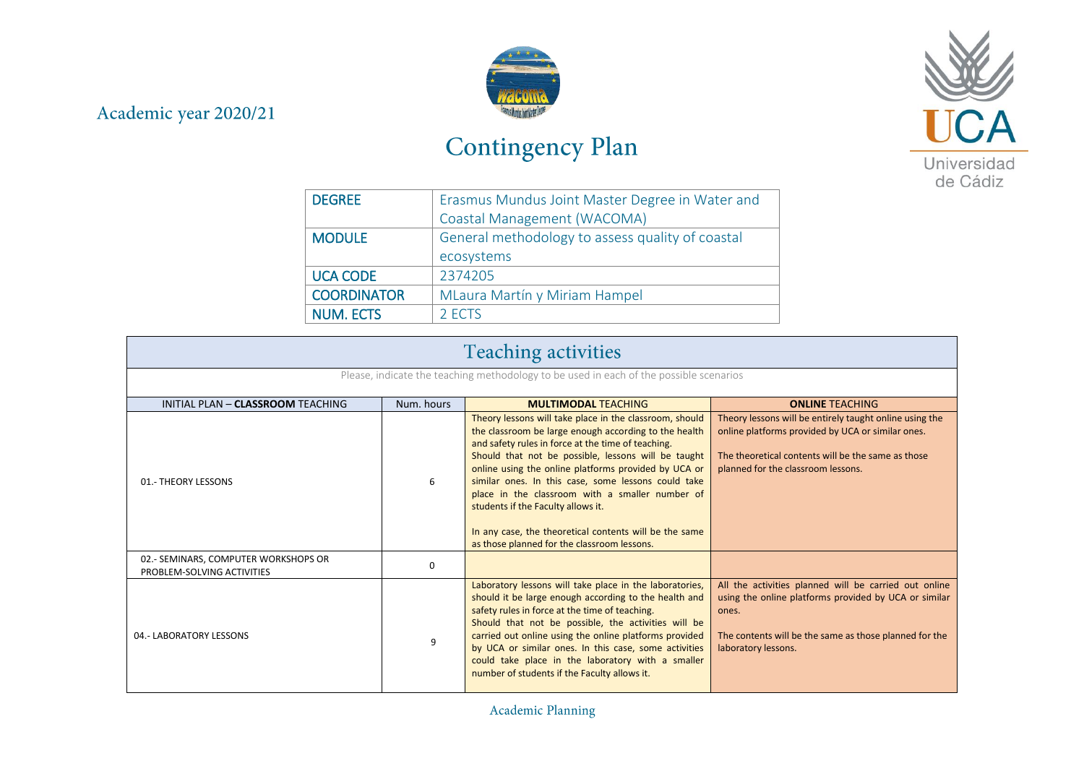## Academic year 2020/21



## Contingency Plan



| <b>DEGREE</b>      | Erasmus Mundus Joint Master Degree in Water and  |
|--------------------|--------------------------------------------------|
|                    | Coastal Management (WACOMA)                      |
| <b>MODULE</b>      | General methodology to assess quality of coastal |
|                    | ecosystems                                       |
| <b>UCA CODE</b>    | 2374205                                          |
| <b>COORDINATOR</b> | MLaura Martín y Miriam Hampel                    |
| <b>NUM. ECTS</b>   | 2 ECTS                                           |

| <b>Teaching activities</b>                                                             |            |                                                                                                                                                                                                                                                                                                                                                                                                                                                                                                                                                |                                                                                                                                                                                                          |
|----------------------------------------------------------------------------------------|------------|------------------------------------------------------------------------------------------------------------------------------------------------------------------------------------------------------------------------------------------------------------------------------------------------------------------------------------------------------------------------------------------------------------------------------------------------------------------------------------------------------------------------------------------------|----------------------------------------------------------------------------------------------------------------------------------------------------------------------------------------------------------|
| Please, indicate the teaching methodology to be used in each of the possible scenarios |            |                                                                                                                                                                                                                                                                                                                                                                                                                                                                                                                                                |                                                                                                                                                                                                          |
| INITIAL PLAN - CLASSROOM TEACHING                                                      | Num. hours | <b>MULTIMODAL TEACHING</b>                                                                                                                                                                                                                                                                                                                                                                                                                                                                                                                     | <b>ONLINE TEACHING</b>                                                                                                                                                                                   |
| 01.- THEORY LESSONS                                                                    | 6          | Theory lessons will take place in the classroom, should<br>the classroom be large enough according to the health<br>and safety rules in force at the time of teaching.<br>Should that not be possible, lessons will be taught<br>online using the online platforms provided by UCA or<br>similar ones. In this case, some lessons could take<br>place in the classroom with a smaller number of<br>students if the Faculty allows it.<br>In any case, the theoretical contents will be the same<br>as those planned for the classroom lessons. | Theory lessons will be entirely taught online using the<br>online platforms provided by UCA or similar ones.<br>The theoretical contents will be the same as those<br>planned for the classroom lessons. |
| 02.- SEMINARS, COMPUTER WORKSHOPS OR<br>PROBLEM-SOLVING ACTIVITIES                     | 0          |                                                                                                                                                                                                                                                                                                                                                                                                                                                                                                                                                |                                                                                                                                                                                                          |
| 04.- LABORATORY LESSONS                                                                | 9          | Laboratory lessons will take place in the laboratories,<br>should it be large enough according to the health and<br>safety rules in force at the time of teaching.<br>Should that not be possible, the activities will be<br>carried out online using the online platforms provided<br>by UCA or similar ones. In this case, some activities<br>could take place in the laboratory with a smaller<br>number of students if the Faculty allows it.                                                                                              | All the activities planned will be carried out online<br>using the online platforms provided by UCA or similar<br>ones.<br>The contents will be the same as those planned for the<br>laboratory lessons. |

Academic Planning